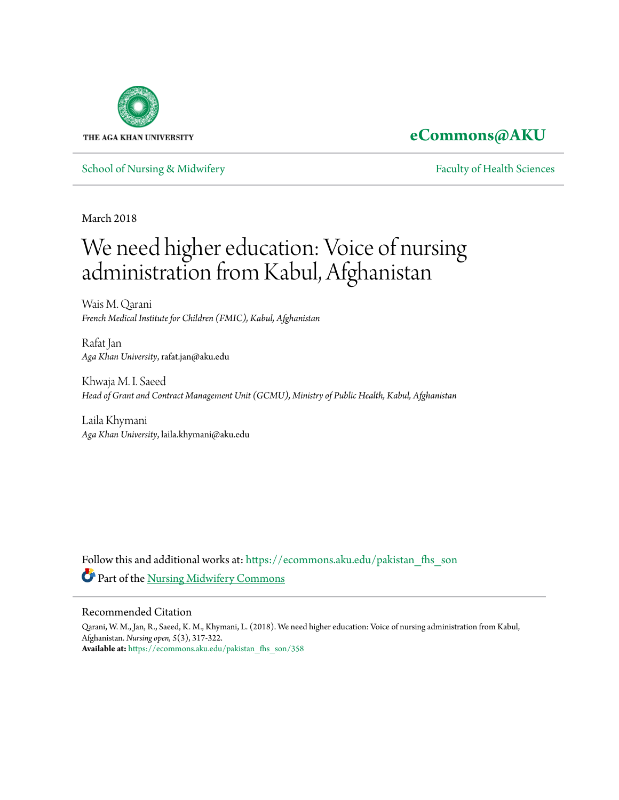

## **[eCommons@AKU](https://ecommons.aku.edu/?utm_source=ecommons.aku.edu%2Fpakistan_fhs_son%2F358&utm_medium=PDF&utm_campaign=PDFCoverPages)**

[School of Nursing & Midwifery](https://ecommons.aku.edu/pakistan_fhs_son?utm_source=ecommons.aku.edu%2Fpakistan_fhs_son%2F358&utm_medium=PDF&utm_campaign=PDFCoverPages) **[Faculty of Health Sciences](https://ecommons.aku.edu/pakistan_fhs?utm_source=ecommons.aku.edu%2Fpakistan_fhs_son%2F358&utm_medium=PDF&utm_campaign=PDFCoverPages)** Faculty of Health Sciences

March 2018

# We need higher education: Voice of nursing administration from Kabul, Afghanistan

Wais M. Qarani *French Medical Institute for Children (FMIC), Kabul, Afghanistan*

Rafat Jan *Aga Khan University*, rafat.jan@aku.edu

Khwaja M. I. Saeed *Head of Grant and Contract Management Unit (GCMU), Ministry of Public Health, Kabul, Afghanistan*

Laila Khymani *Aga Khan University*, laila.khymani@aku.edu

Follow this and additional works at: [https://ecommons.aku.edu/pakistan\\_fhs\\_son](https://ecommons.aku.edu/pakistan_fhs_son?utm_source=ecommons.aku.edu%2Fpakistan_fhs_son%2F358&utm_medium=PDF&utm_campaign=PDFCoverPages) Part of the [Nursing Midwifery Commons](http://network.bepress.com/hgg/discipline/722?utm_source=ecommons.aku.edu%2Fpakistan_fhs_son%2F358&utm_medium=PDF&utm_campaign=PDFCoverPages)

#### Recommended Citation

Qarani, W. M., Jan, R., Saeed, K. M., Khymani, L. (2018). We need higher education: Voice of nursing administration from Kabul, Afghanistan. *Nursing open, 5*(3), 317-322. **Available at:** [https://ecommons.aku.edu/pakistan\\_fhs\\_son/358](https://ecommons.aku.edu/pakistan_fhs_son/358)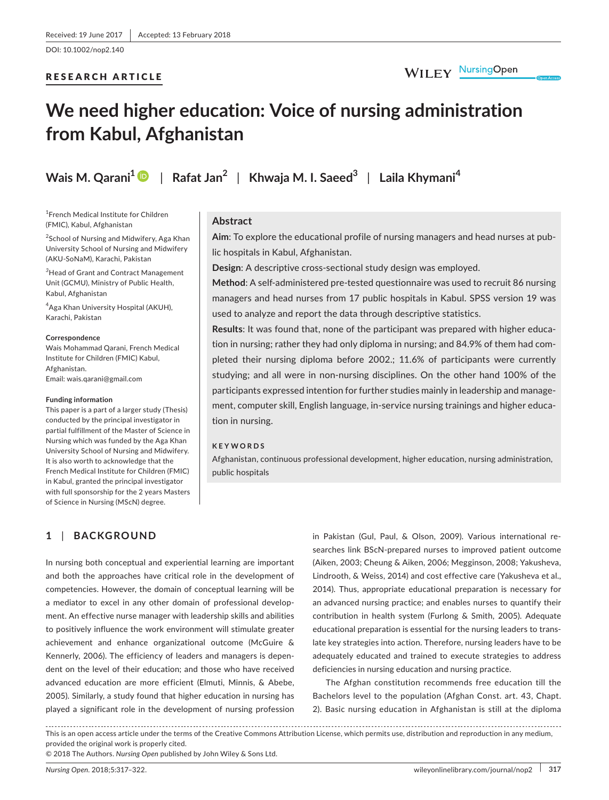DOI: 10.1002/nop2.140

#### RESEARCH ARTICLE

### WILEY NursingOpen

## **We need higher education: Voice of nursing administration from Kabul, Afghanistan**

**Wais M. Qarani[1](http://orcid.org/0000-0002-2823-0903)** | **Rafat Jan<sup>2</sup>** | **Khwaja M. I. Saeed<sup>3</sup>** | **Laila Khymani<sup>4</sup>**

1 French Medical Institute for Children (FMIC), Kabul, Afghanistan

<sup>2</sup>School of Nursing and Midwifery, Aga Khan University School of Nursing and Midwifery (AKU-SoNaM), Karachi, Pakistan

*3* Head of Grant and Contract Management Unit (GCMU), Ministry of Public Health, Kabul, Afghanistan

4 Aga Khan University Hospital (AKUH), Karachi, Pakistan

#### **Correspondence**

Wais Mohammad Qarani, French Medical Institute for Children (FMIC) Kabul, Afghanistan. Email: [wais.qarani@gmail.com](mailto:wais.qarani@gmail.com
)

#### **Funding information**

This paper is a part of a larger study (Thesis) conducted by the principal investigator in partial fulfillment of the Master of Science in Nursing which was funded by the Aga Khan University School of Nursing and Midwifery. It is also worth to acknowledge that the French Medical Institute for Children (FMIC) in Kabul, granted the principal investigator with full sponsorship for the 2 years Masters of Science in Nursing (MScN) degree.

#### **Abstract**

**Aim**: To explore the educational profile of nursing managers and head nurses at public hospitals in Kabul, Afghanistan.

**Design**: A descriptive cross-sectional study design was employed.

**Method**: A self-administered pre-tested questionnaire was used to recruit 86 nursing managers and head nurses from 17 public hospitals in Kabul. SPSS version 19 was used to analyze and report the data through descriptive statistics.

**Results**: It was found that, none of the participant was prepared with higher education in nursing; rather they had only diploma in nursing; and 84.9% of them had completed their nursing diploma before 2002.; 11.6% of participants were currently studying; and all were in non-nursing disciplines. On the other hand 100% of the participants expressed intention for further studies mainly in leadership and management, computer skill, English language, in-service nursing trainings and higher education in nursing.

#### **KEYWORDS**

Afghanistan, continuous professional development, higher education, nursing administration, public hospitals

#### **1** | **BACKGROUND**

In nursing both conceptual and experiential learning are important and both the approaches have critical role in the development of competencies. However, the domain of conceptual learning will be a mediator to excel in any other domain of professional development. An effective nurse manager with leadership skills and abilities to positively influence the work environment will stimulate greater achievement and enhance organizational outcome (McGuire & Kennerly, 2006). The efficiency of leaders and managers is dependent on the level of their education; and those who have received advanced education are more efficient (Elmuti, Minnis, & Abebe, 2005). Similarly, a study found that higher education in nursing has played a significant role in the development of nursing profession

in Pakistan (Gul, Paul, & Olson, 2009). Various international researches link BScN-prepared nurses to improved patient outcome (Aiken, 2003; Cheung & Aiken, 2006; Megginson, 2008; Yakusheva, Lindrooth, & Weiss, 2014) and cost effective care (Yakusheva et al., 2014). Thus, appropriate educational preparation is necessary for an advanced nursing practice; and enables nurses to quantify their contribution in health system (Furlong & Smith, 2005). Adequate educational preparation is essential for the nursing leaders to translate key strategies into action. Therefore, nursing leaders have to be adequately educated and trained to execute strategies to address deficiencies in nursing education and nursing practice.

The Afghan constitution recommends free education till the Bachelors level to the population (Afghan Const. art. 43, Chapt. 2). Basic nursing education in Afghanistan is still at the diploma

This is an open access article under the terms of the [Creative Commons Attribution](http://creativecommons.org/licenses/by/4.0/) License, which permits use, distribution and reproduction in any medium, provided the original work is properly cited.

© 2018 The Authors. *Nursing Open* published by John Wiley & Sons Ltd.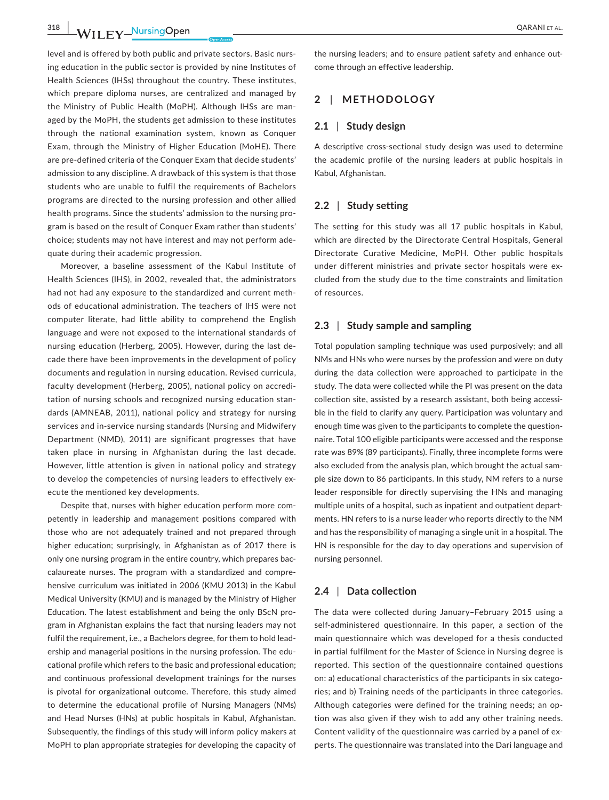level and is offered by both public and private sectors. Basic nursing education in the public sector is provided by nine Institutes of Health Sciences (IHSs) throughout the country. These institutes, which prepare diploma nurses, are centralized and managed by the Ministry of Public Health (MoPH). Although IHSs are managed by the MoPH, the students get admission to these institutes through the national examination system, known as Conquer Exam, through the Ministry of Higher Education (MoHE). There are pre-defined criteria of the Conquer Exam that decide students' admission to any discipline. A drawback of this system is that those students who are unable to fulfil the requirements of Bachelors programs are directed to the nursing profession and other allied health programs. Since the students' admission to the nursing program is based on the result of Conquer Exam rather than students' choice; students may not have interest and may not perform adequate during their academic progression.

Moreover, a baseline assessment of the Kabul Institute of Health Sciences (IHS), in 2002, revealed that, the administrators had not had any exposure to the standardized and current methods of educational administration. The teachers of IHS were not computer literate, had little ability to comprehend the English language and were not exposed to the international standards of nursing education (Herberg, 2005). However, during the last decade there have been improvements in the development of policy documents and regulation in nursing education. Revised curricula, faculty development (Herberg, 2005), national policy on accreditation of nursing schools and recognized nursing education standards (AMNEAB, 2011), national policy and strategy for nursing services and in-service nursing standards (Nursing and Midwifery Department (NMD), 2011) are significant progresses that have taken place in nursing in Afghanistan during the last decade. However, little attention is given in national policy and strategy to develop the competencies of nursing leaders to effectively execute the mentioned key developments.

Despite that, nurses with higher education perform more competently in leadership and management positions compared with those who are not adequately trained and not prepared through higher education; surprisingly, in Afghanistan as of 2017 there is only one nursing program in the entire country, which prepares baccalaureate nurses. The program with a standardized and comprehensive curriculum was initiated in 2006 (KMU 2013) in the Kabul Medical University (KMU) and is managed by the Ministry of Higher Education. The latest establishment and being the only BScN program in Afghanistan explains the fact that nursing leaders may not fulfil the requirement, i.e., a Bachelors degree, for them to hold leadership and managerial positions in the nursing profession. The educational profile which refers to the basic and professional education; and continuous professional development trainings for the nurses is pivotal for organizational outcome. Therefore, this study aimed to determine the educational profile of Nursing Managers (NMs) and Head Nurses (HNs) at public hospitals in Kabul, Afghanistan. Subsequently, the findings of this study will inform policy makers at MoPH to plan appropriate strategies for developing the capacity of

the nursing leaders; and to ensure patient safety and enhance outcome through an effective leadership.

#### **2** | **METHODOLOGY**

#### **2.1** | **Study design**

A descriptive cross-sectional study design was used to determine the academic profile of the nursing leaders at public hospitals in Kabul, Afghanistan.

#### **2.2** | **Study setting**

The setting for this study was all 17 public hospitals in Kabul, which are directed by the Directorate Central Hospitals, General Directorate Curative Medicine, MoPH. Other public hospitals under different ministries and private sector hospitals were excluded from the study due to the time constraints and limitation of resources.

#### **2.3** | **Study sample and sampling**

Total population sampling technique was used purposively; and all NMs and HNs who were nurses by the profession and were on duty during the data collection were approached to participate in the study. The data were collected while the PI was present on the data collection site, assisted by a research assistant, both being accessible in the field to clarify any query. Participation was voluntary and enough time was given to the participants to complete the questionnaire. Total 100 eligible participants were accessed and the response rate was 89% (89 participants). Finally, three incomplete forms were also excluded from the analysis plan, which brought the actual sample size down to 86 participants. In this study, NM refers to a nurse leader responsible for directly supervising the HNs and managing multiple units of a hospital, such as inpatient and outpatient departments. HN refers to is a nurse leader who reports directly to the NM and has the responsibility of managing a single unit in a hospital. The HN is responsible for the day to day operations and supervision of nursing personnel.

#### **2.4** | **Data collection**

The data were collected during January–February 2015 using a self-administered questionnaire. In this paper, a section of the main questionnaire which was developed for a thesis conducted in partial fulfilment for the Master of Science in Nursing degree is reported. This section of the questionnaire contained questions on: a) educational characteristics of the participants in six categories; and b) Training needs of the participants in three categories. Although categories were defined for the training needs; an option was also given if they wish to add any other training needs. Content validity of the questionnaire was carried by a panel of experts. The questionnaire was translated into the Dari language and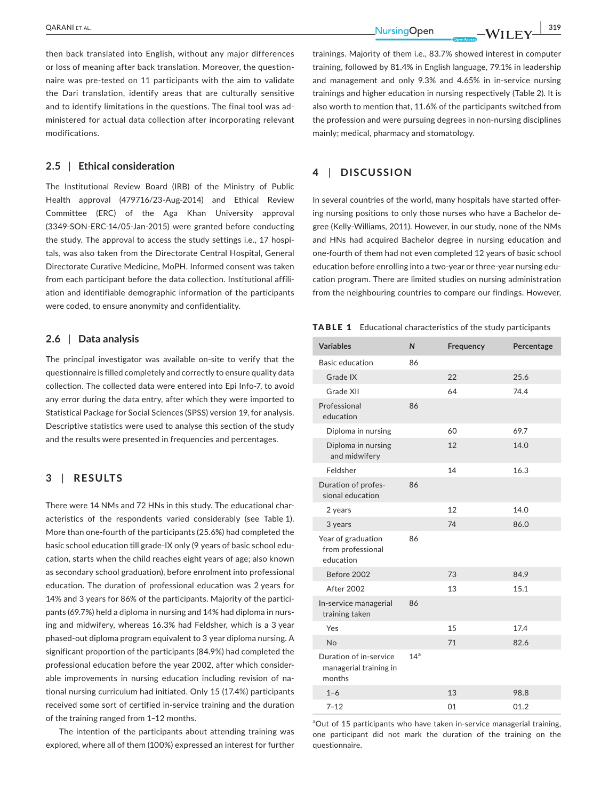**|** QARANI et al. **319**

then back translated into English, without any major differences or loss of meaning after back translation. Moreover, the questionnaire was pre-tested on 11 participants with the aim to validate the Dari translation, identify areas that are culturally sensitive and to identify limitations in the questions. The final tool was administered for actual data collection after incorporating relevant modifications.

#### **2.5** | **Ethical consideration**

The Institutional Review Board (IRB) of the Ministry of Public Health approval (479716/23-Aug-2014) and Ethical Review Committee (ERC) of the Aga Khan University approval (3349-SON-ERC-14/05-Jan-2015) were granted before conducting the study. The approval to access the study settings i.e., 17 hospitals, was also taken from the Directorate Central Hospital, General Directorate Curative Medicine, MoPH. Informed consent was taken from each participant before the data collection. Institutional affiliation and identifiable demographic information of the participants were coded, to ensure anonymity and confidentiality.

#### **2.6** | **Data analysis**

The principal investigator was available on-site to verify that the questionnaire is filled completely and correctly to ensure quality data collection. The collected data were entered into Epi Info-7, to avoid any error during the data entry, after which they were imported to Statistical Package for Social Sciences (SPSS) version 19, for analysis. Descriptive statistics were used to analyse this section of the study and the results were presented in frequencies and percentages.

#### **3** | **RESULTS**

There were 14 NMs and 72 HNs in this study. The educational characteristics of the respondents varied considerably (see Table 1). More than one-fourth of the participants (25.6%) had completed the basic school education till grade-IX only (9 years of basic school education, starts when the child reaches eight years of age; also known as secondary school graduation), before enrolment into professional education. The duration of professional education was 2 years for 14% and 3 years for 86% of the participants. Majority of the participants (69.7%) held a diploma in nursing and 14% had diploma in nursing and midwifery, whereas 16.3% had Feldsher, which is a 3 year phased-out diploma program equivalent to 3 year diploma nursing. A significant proportion of the participants (84.9%) had completed the professional education before the year 2002, after which considerable improvements in nursing education including revision of national nursing curriculum had initiated. Only 15 (17.4%) participants received some sort of certified in-service training and the duration of the training ranged from 1–12 months.

The intention of the participants about attending training was explored, where all of them (100%) expressed an interest for further trainings. Majority of them i.e., 83.7% showed interest in computer training, followed by 81.4% in English language, 79.1% in leadership and management and only 9.3% and 4.65% in in-service nursing trainings and higher education in nursing respectively (Table 2). It is also worth to mention that, 11.6% of the participants switched from the profession and were pursuing degrees in non-nursing disciplines mainly; medical, pharmacy and stomatology.

#### **4** | **DISCUSSION**

In several countries of the world, many hospitals have started offering nursing positions to only those nurses who have a Bachelor degree (Kelly-Williams, 2011). However, in our study, none of the NMs and HNs had acquired Bachelor degree in nursing education and one-fourth of them had not even completed 12 years of basic school education before enrolling into a two-year or three-year nursing education program. There are limited studies on nursing administration from the neighbouring countries to compare our findings. However,

TABLE 1 Educational characteristics of the study participants

| <b>Variables</b>                                           | $\mathsf{N}$    | Frequency | Percentage |
|------------------------------------------------------------|-----------------|-----------|------------|
| <b>Basic education</b>                                     | 86              |           |            |
| Grade IX                                                   |                 | 22        | 25.6       |
| Grade XII                                                  |                 | 64        | 74.4       |
| Professional<br>education                                  | 86              |           |            |
| Diploma in nursing                                         |                 | 60        | 69.7       |
| Diploma in nursing<br>and midwifery                        |                 | 12        | 14.0       |
| Feldsher                                                   |                 | 14        | 16.3       |
| Duration of profes-<br>sional education                    | 86              |           |            |
| 2 years                                                    |                 | 12        | 14.0       |
| 3 years                                                    |                 | 74        | 86.0       |
| Year of graduation<br>from professional<br>education       | 86              |           |            |
| Before 2002                                                |                 | 73        | 84.9       |
| <b>After 2002</b>                                          |                 | 13        | 15.1       |
| In-service managerial<br>training taken                    | 86              |           |            |
| Yes                                                        |                 | 15        | 17.4       |
| No                                                         |                 | 71        | 82.6       |
| Duration of in-service<br>managerial training in<br>months | 14 <sup>a</sup> |           |            |
| $1 - 6$                                                    |                 | 13        | 98.8       |
| $7 - 12$                                                   |                 | 01        | 01.2       |

<sup>a</sup>Out of 15 participants who have taken in-service managerial training, one participant did not mark the duration of the training on the questionnaire.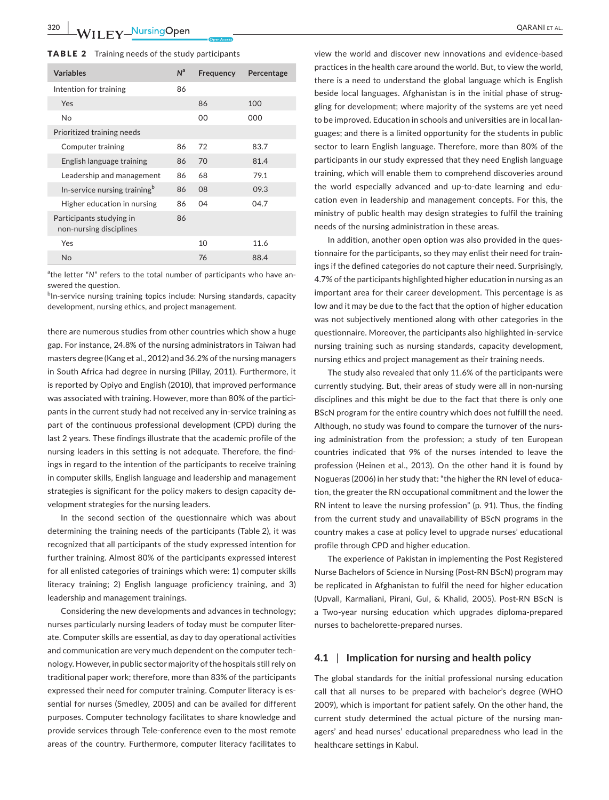| <b>Variables</b>                                    | N <sup>a</sup> | Frequency | Percentage |
|-----------------------------------------------------|----------------|-----------|------------|
| Intention for training                              | 86             |           |            |
| Yes                                                 |                | 86        | 100        |
| <b>No</b>                                           |                | 00        | 000        |
| Prioritized training needs                          |                |           |            |
| Computer training                                   | 86             | 72        | 83.7       |
| English language training                           | 86             | 70        | 81.4       |
| Leadership and management                           | 86             | 68        | 79.1       |
| In-service nursing training <sup>b</sup>            | 86             | 08        | 09.3       |
| Higher education in nursing                         | 86             | 04        | 04.7       |
| Participants studying in<br>non-nursing disciplines | 86             |           |            |
| Yes                                                 |                | 10        | 11.6       |
| <b>No</b>                                           |                | 76        | 88.4       |

<sup>a</sup>the letter "N" refers to the total number of participants who have answered the question.

bln-service nursing training topics include: Nursing standards, capacity development, nursing ethics, and project management.

there are numerous studies from other countries which show a huge gap. For instance, 24.8% of the nursing administrators in Taiwan had masters degree (Kang et al., 2012) and 36.2% of the nursing managers in South Africa had degree in nursing (Pillay, 2011). Furthermore, it is reported by Opiyo and English (2010), that improved performance was associated with training. However, more than 80% of the participants in the current study had not received any in-service training as part of the continuous professional development (CPD) during the last 2 years. These findings illustrate that the academic profile of the nursing leaders in this setting is not adequate. Therefore, the findings in regard to the intention of the participants to receive training in computer skills, English language and leadership and management strategies is significant for the policy makers to design capacity development strategies for the nursing leaders.

In the second section of the questionnaire which was about determining the training needs of the participants (Table 2), it was recognized that all participants of the study expressed intention for further training. Almost 80% of the participants expressed interest for all enlisted categories of trainings which were: 1) computer skills literacy training; 2) English language proficiency training, and 3) leadership and management trainings.

Considering the new developments and advances in technology; nurses particularly nursing leaders of today must be computer literate. Computer skills are essential, as day to day operational activities and communication are very much dependent on the computer technology. However, in public sector majority of the hospitals still rely on traditional paper work; therefore, more than 83% of the participants expressed their need for computer training. Computer literacy is essential for nurses (Smedley, 2005) and can be availed for different purposes. Computer technology facilitates to share knowledge and provide services through Tele-conference even to the most remote areas of the country. Furthermore, computer literacy facilitates to

view the world and discover new innovations and evidence-based practices in the health care around the world. But, to view the world, there is a need to understand the global language which is English beside local languages. Afghanistan is in the initial phase of struggling for development; where majority of the systems are yet need to be improved. Education in schools and universities are in local languages; and there is a limited opportunity for the students in public sector to learn English language. Therefore, more than 80% of the participants in our study expressed that they need English language training, which will enable them to comprehend discoveries around the world especially advanced and up-to-date learning and education even in leadership and management concepts. For this, the ministry of public health may design strategies to fulfil the training needs of the nursing administration in these areas.

In addition, another open option was also provided in the questionnaire for the participants, so they may enlist their need for trainings if the defined categories do not capture their need. Surprisingly, 4.7% of the participants highlighted higher education in nursing as an important area for their career development. This percentage is as low and it may be due to the fact that the option of higher education was not subjectively mentioned along with other categories in the questionnaire. Moreover, the participants also highlighted in-service nursing training such as nursing standards, capacity development, nursing ethics and project management as their training needs.

The study also revealed that only 11.6% of the participants were currently studying. But, their areas of study were all in non-nursing disciplines and this might be due to the fact that there is only one BScN program for the entire country which does not fulfill the need. Although, no study was found to compare the turnover of the nursing administration from the profession; a study of ten European countries indicated that 9% of the nurses intended to leave the profession (Heinen et al., 2013). On the other hand it is found by Nogueras (2006) in her study that: "the higher the RN level of education, the greater the RN occupational commitment and the lower the RN intent to leave the nursing profession" (p. 91). Thus, the finding from the current study and unavailability of BScN programs in the country makes a case at policy level to upgrade nurses' educational profile through CPD and higher education.

The experience of Pakistan in implementing the Post Registered Nurse Bachelors of Science in Nursing (Post-RN BScN) program may be replicated in Afghanistan to fulfil the need for higher education (Upvall, Karmaliani, Pirani, Gul, & Khalid, 2005). Post-RN BScN is a Two-year nursing education which upgrades diploma-prepared nurses to bachelorette-prepared nurses.

#### **4.1** | **Implication for nursing and health policy**

The global standards for the initial professional nursing education call that all nurses to be prepared with bachelor's degree (WHO 2009), which is important for patient safely. On the other hand, the current study determined the actual picture of the nursing managers' and head nurses' educational preparedness who lead in the healthcare settings in Kabul.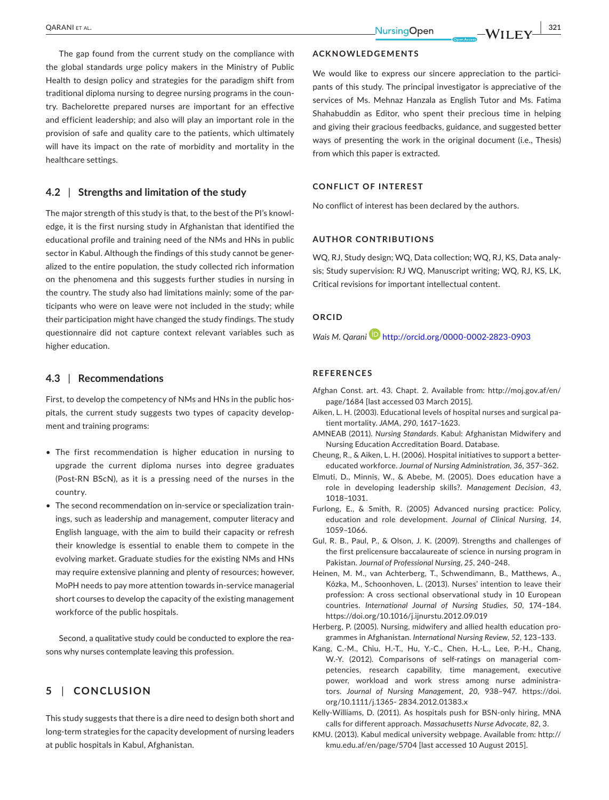The gap found from the current study on the compliance with the global standards urge policy makers in the Ministry of Public Health to design policy and strategies for the paradigm shift from traditional diploma nursing to degree nursing programs in the country. Bachelorette prepared nurses are important for an effective and efficient leadership; and also will play an important role in the provision of safe and quality care to the patients, which ultimately will have its impact on the rate of morbidity and mortality in the healthcare settings.

#### **4.2** | **Strengths and limitation of the study**

The major strength of this study is that, to the best of the PI's knowledge, it is the first nursing study in Afghanistan that identified the educational profile and training need of the NMs and HNs in public sector in Kabul. Although the findings of this study cannot be generalized to the entire population, the study collected rich information on the phenomena and this suggests further studies in nursing in the country. The study also had limitations mainly; some of the participants who were on leave were not included in the study; while their participation might have changed the study findings. The study questionnaire did not capture context relevant variables such as higher education.

#### **4.3** | **Recommendations**

First, to develop the competency of NMs and HNs in the public hospitals, the current study suggests two types of capacity development and training programs:

- The first recommendation is higher education in nursing to upgrade the current diploma nurses into degree graduates (Post-RN BScN), as it is a pressing need of the nurses in the country.
- The second recommendation on in-service or specialization trainings, such as leadership and management, computer literacy and English language, with the aim to build their capacity or refresh their knowledge is essential to enable them to compete in the evolving market. Graduate studies for the existing NMs and HNs may require extensive planning and plenty of resources; however, MoPH needs to pay more attention towards in-service managerial short courses to develop the capacity of the existing management workforce of the public hospitals.

Second, a qualitative study could be conducted to explore the reasons why nurses contemplate leaving this profession.

#### **5** | **CONCLUSION**

This study suggests that there is a dire need to design both short and long-term strategies for the capacity development of nursing leaders at public hospitals in Kabul, Afghanistan.

#### **ACKNOWLEDGEMENTS**

We would like to express our sincere appreciation to the participants of this study. The principal investigator is appreciative of the services of Ms. Mehnaz Hanzala as English Tutor and Ms. Fatima Shahabuddin as Editor, who spent their precious time in helping and giving their gracious feedbacks, guidance, and suggested better ways of presenting the work in the original document (i.e., Thesis) from which this paper is extracted.

#### **CONFLICT OF INTEREST**

No conflict of interest has been declared by the authors.

#### **AUTHOR CONTRIBUTIONS**

WQ, RJ, Study design; WQ, Data collection; WQ, RJ, KS, Data analysis; Study supervision: RJ WQ, Manuscript writing; WQ, RJ, KS, LK, Critical revisions for important intellectual content.

#### **ORCID**

*Wais M. Qarani* <http://orcid.org/0000-0002-2823-0903>

#### **REFERENCES**

- Afghan Const. art. 43. Chapt. 2. Available from: [http://moj.gov.af/en/](http://moj.gov.af/en/page/1684) [page/1684](http://moj.gov.af/en/page/1684) [last accessed 03 March 2015].
- Aiken, L. H. (2003). Educational levels of hospital nurses and surgical patient mortality. *JAMA*, *290*, 1617–1623.
- AMNEAB (2011). *Nursing Standards*. Kabul: Afghanistan Midwifery and Nursing Education Accreditation Board. Database.
- Cheung, R., & Aiken, L. H. (2006). Hospital initiatives to support a bettereducated workforce. *Journal of Nursing Administration*, *36*, 357–362.
- Elmuti, D., Minnis, W., & Abebe, M. (2005). Does education have a role in developing leadership skills?. *Management Decision*, *43*, 1018–1031.
- Furlong, E., & Smith, R. (2005) Advanced nursing practice: Policy, education and role development. *Journal of Clinical Nursing*, *14*, 1059–1066.
- Gul, R. B., Paul, P., & Olson, J. K. (2009). Strengths and challenges of the first prelicensure baccalaureate of science in nursing program in Pakistan. *Journal of Professional Nursing*, *25*, 240–248.
- Heinen, M. M., van Achterberg, T., Schwendimann, B., Matthews, A., Kózka, M., Schoonhoven, L. (2013). Nurses' intention to leave their profession: A cross sectional observational study in 10 European countries. *International Journal of Nursing Studies*, *50*, 174–184. <https://doi.org/10.1016/j.ijnurstu.2012.09.019>
- Herberg, P. (2005). Nursing, midwifery and allied health education programmes in Afghanistan. *International Nursing Review*, *52*, 123–133.
- Kang, C.-M., Chiu, H.-T., Hu, Y.-C., Chen, H.-L., Lee, P.-H., Chang, W.-Y. (2012). Comparisons of self-ratings on managerial competencies, research capability, time management, executive power, workload and work stress among nurse administrators. *Journal of Nursing Management*, *20*, 938–947. [https://doi.](https://doi.org/10.1111/j.1365-2834.2012.01383.x) [org/10.1111/j.1365- 2834.2012.01383.x](https://doi.org/10.1111/j.1365-2834.2012.01383.x)
- Kelly-Williams, D. (2011). As hospitals push for BSN-only hiring, MNA calls for different approach. *Massachusetts Nurse Advocate*, *82*, 3.
- KMU. (2013). Kabul medical university webpage. Available from: [http://](http://kmu.edu.af/en/page/5704) [kmu.edu.af/en/page/5704](http://kmu.edu.af/en/page/5704) [last accessed 10 August 2015].